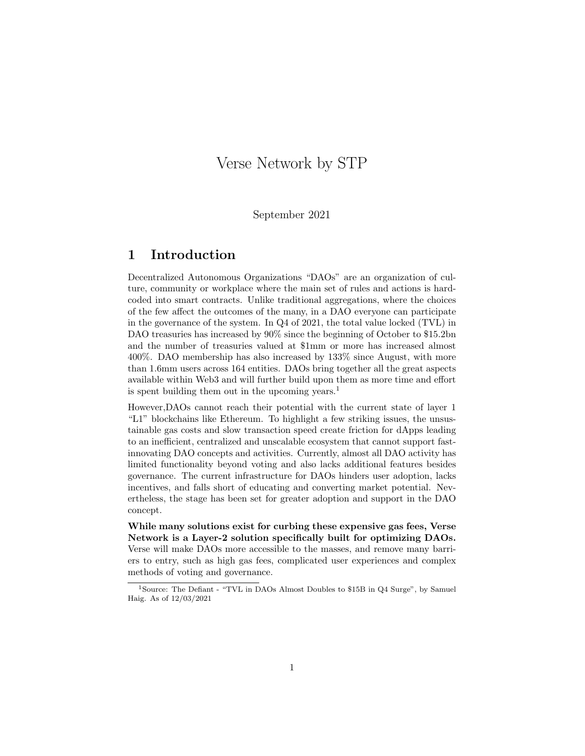# Verse Network by STP

September 2021

## 1 Introduction

Decentralized Autonomous Organizations "DAOs" are an organization of culture, community or workplace where the main set of rules and actions is hardcoded into smart contracts. Unlike traditional aggregations, where the choices of the few affect the outcomes of the many, in a DAO everyone can participate in the governance of the system. In Q4 of 2021, the total value locked (TVL) in DAO treasuries has increased by  $90\%$  since the beginning of October to \$15.2bn and the number of treasuries valued at \$1mm or more has increased almost 400%. DAO membership has also increased by 133% since August, with more than 1.6mm users across 164 entities. DAOs bring together all the great aspects available within Web3 and will further build upon them as more time and effort is spent building them out in the upcoming years.<sup>1</sup>

However,DAOs cannot reach their potential with the current state of layer 1 "L1" blockchains like Ethereum. To highlight a few striking issues, the unsustainable gas costs and slow transaction speed create friction for dApps leading to an inefficient, centralized and unscalable ecosystem that cannot support fastinnovating DAO concepts and activities. Currently, almost all DAO activity has limited functionality beyond voting and also lacks additional features besides governance. The current infrastructure for DAOs hinders user adoption, lacks incentives, and falls short of educating and converting market potential. Nevertheless, the stage has been set for greater adoption and support in the DAO concept.

While many solutions exist for curbing these expensive gas fees, Verse Network is a Layer-2 solution specifically built for optimizing DAOs. Verse will make DAOs more accessible to the masses, and remove many barriers to entry, such as high gas fees, complicated user experiences and complex methods of voting and governance.

<sup>&</sup>lt;sup>1</sup>Source: The Defiant - "TVL in DAOs Almost Doubles to \$15B in Q4 Surge", by Samuel Haig. As of 12/03/2021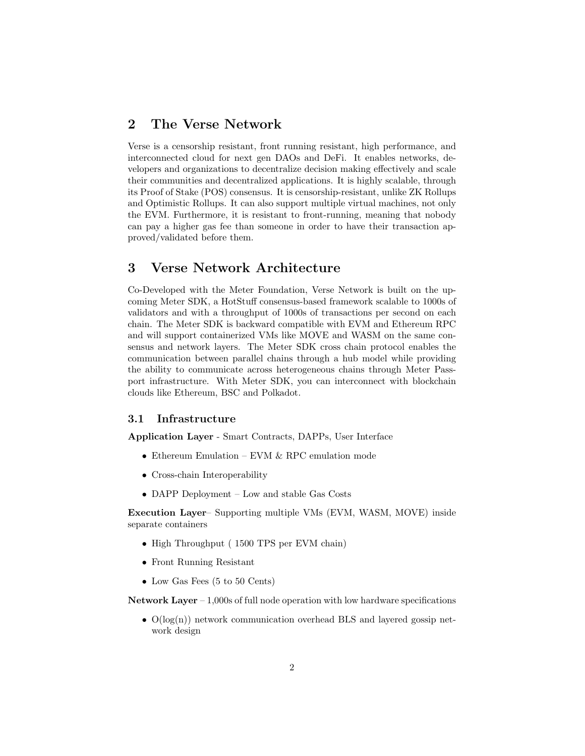### 2 The Verse Network

Verse is a censorship resistant, front running resistant, high performance, and interconnected cloud for next gen DAOs and DeFi. It enables networks, developers and organizations to decentralize decision making effectively and scale their communities and decentralized applications. It is highly scalable, through its Proof of Stake (POS) consensus. It is censorship-resistant, unlike ZK Rollups and Optimistic Rollups. It can also support multiple virtual machines, not only the EVM. Furthermore, it is resistant to front-running, meaning that nobody can pay a higher gas fee than someone in order to have their transaction approved/validated before them.

### 3 Verse Network Architecture

Co-Developed with the Meter Foundation, Verse Network is built on the upcoming Meter SDK, a HotStuff consensus-based framework scalable to 1000s of validators and with a throughput of 1000s of transactions per second on each chain. The Meter SDK is backward compatible with EVM and Ethereum RPC and will support containerized VMs like MOVE and WASM on the same consensus and network layers. The Meter SDK cross chain protocol enables the communication between parallel chains through a hub model while providing the ability to communicate across heterogeneous chains through Meter Passport infrastructure. With Meter SDK, you can interconnect with blockchain clouds like Ethereum, BSC and Polkadot.

#### 3.1 Infrastructure

Application Layer - Smart Contracts, DAPPs, User Interface

- Ethereum Emulation EVM & RPC emulation mode
- Cross-chain Interoperability
- DAPP Deployment Low and stable Gas Costs

Execution Layer– Supporting multiple VMs (EVM, WASM, MOVE) inside separate containers

- High Throughput (1500 TPS per EVM chain)
- Front Running Resistant
- Low Gas Fees (5 to 50 Cents)

Network Layer – 1,000s of full node operation with low hardware specifications

•  $O(log(n))$  network communication overhead BLS and layered gossip network design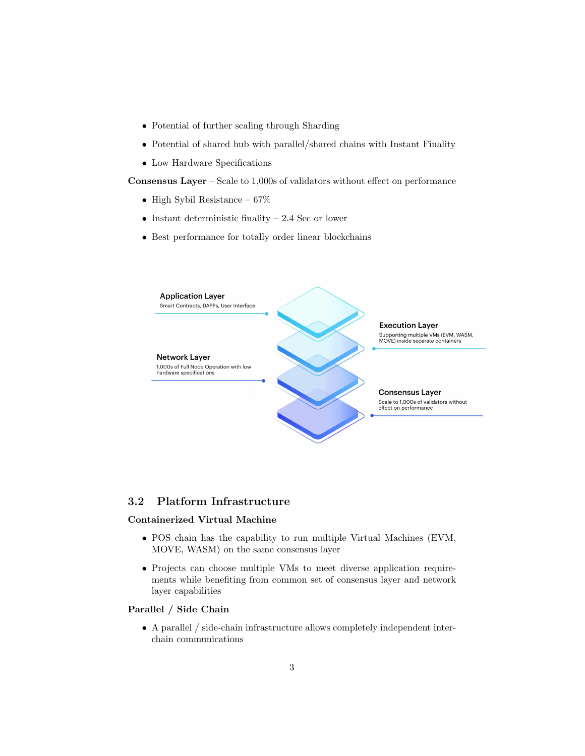- Potential of further scaling through Sharding
- Potential of shared hub with parallel/shared chains with Instant Finality
- Low Hardware Specifications

Consensus Layer – Scale to 1,000s of validators without effect on performance

- High Sybil Resistance  $67\%$
- Instant deterministic finality  $-2.4$  Sec or lower
- Best performance for totally order linear blockchains



#### 3.2 Platform Infrastructure

#### Containerized Virtual Machine

- POS chain has the capability to run multiple Virtual Machines (EVM, MOVE, WASM) on the same consensus layer
- Projects can choose multiple VMs to meet diverse application requirements while benefiting from common set of consensus layer and network layer capabilities

#### Parallel / Side Chain

• A parallel / side-chain infrastructure allows completely independent interchain communications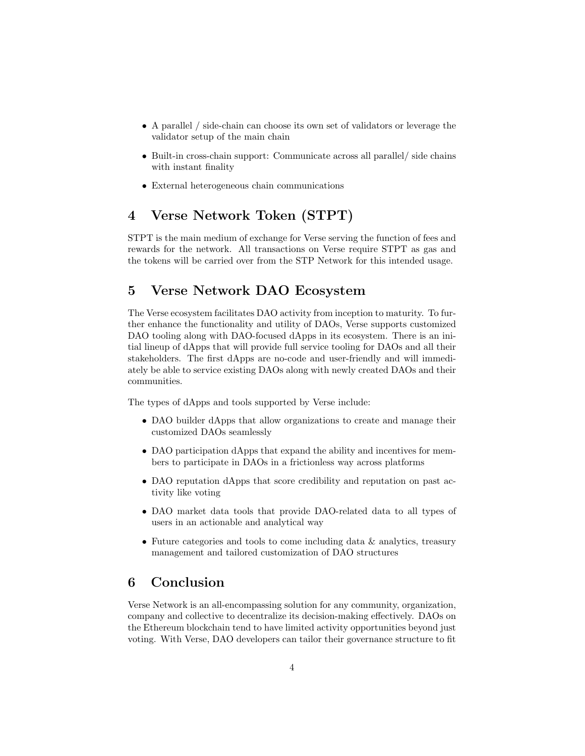- A parallel / side-chain can choose its own set of validators or leverage the validator setup of the main chain
- Built-in cross-chain support: Communicate across all parallel/ side chains with instant finality
- External heterogeneous chain communications

# 4 Verse Network Token (STPT)

STPT is the main medium of exchange for Verse serving the function of fees and rewards for the network. All transactions on Verse require STPT as gas and the tokens will be carried over from the STP Network for this intended usage.

# 5 Verse Network DAO Ecosystem

The Verse ecosystem facilitates DAO activity from inception to maturity. To further enhance the functionality and utility of DAOs, Verse supports customized DAO tooling along with DAO-focused dApps in its ecosystem. There is an initial lineup of dApps that will provide full service tooling for DAOs and all their stakeholders. The first dApps are no-code and user-friendly and will immediately be able to service existing DAOs along with newly created DAOs and their communities.

The types of dApps and tools supported by Verse include:

- DAO builder dApps that allow organizations to create and manage their customized DAOs seamlessly
- DAO participation dApps that expand the ability and incentives for members to participate in DAOs in a frictionless way across platforms
- DAO reputation dApps that score credibility and reputation on past activity like voting
- DAO market data tools that provide DAO-related data to all types of users in an actionable and analytical way
- Future categories and tools to come including data & analytics, treasury management and tailored customization of DAO structures

# 6 Conclusion

Verse Network is an all-encompassing solution for any community, organization, company and collective to decentralize its decision-making effectively. DAOs on the Ethereum blockchain tend to have limited activity opportunities beyond just voting. With Verse, DAO developers can tailor their governance structure to fit